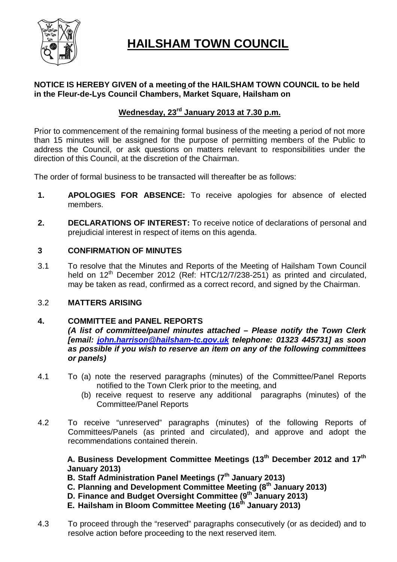

# **HAILSHAM TOWN COUNCIL**

# **NOTICE IS HEREBY GIVEN of a meeting of the HAILSHAM TOWN COUNCIL to be held in the Fleur-de-Lys Council Chambers, Market Square, Hailsham on**

# **Wednesday, 23rd January 2013 at 7.30 p.m.**

Prior to commencement of the remaining formal business of the meeting a period of not more than 15 minutes will be assigned for the purpose of permitting members of the Public to address the Council, or ask questions on matters relevant to responsibilities under the direction of this Council, at the discretion of the Chairman.

The order of formal business to be transacted will thereafter be as follows:

- **1. APOLOGIES FOR ABSENCE:** To receive apologies for absence of elected members.
- **2. DECLARATIONS OF INTEREST:** To receive notice of declarations of personal and prejudicial interest in respect of items on this agenda.

# **3 CONFIRMATION OF MINUTES**

3.1 To resolve that the Minutes and Reports of the Meeting of Hailsham Town Council held on  $12<sup>th</sup>$  December 2012 (Ref: HTC/12/7/238-251) as printed and circulated. may be taken as read, confirmed as a correct record, and signed by the Chairman.

## 3.2 **MATTERS ARISING**

# **4. COMMITTEE and PANEL REPORTS**

*(A list of committee/panel minutes attached – Please notify the Town Clerk [email: john.harrison@hailsham-tc.gov.uk telephone: 01323 445731] as soon as possible if you wish to reserve an item on any of the following committees or panels)*

- 4.1 To (a) note the reserved paragraphs (minutes) of the Committee/Panel Reports notified to the Town Clerk prior to the meeting, and
	- (b) receive request to reserve any additional paragraphs (minutes) of the Committee/Panel Reports
- 4.2 To receive "unreserved" paragraphs (minutes) of the following Reports of Committees/Panels (as printed and circulated), and approve and adopt the recommendations contained therein.

**A. Business Development Committee Meetings (13th December 2012 and 17th January 2013)**

- **B. Staff Administration Panel Meetings (7th January 2013)**
- **C. Planning and Development Committee Meeting (8th January 2013)**
- **D. Finance and Budget Oversight Committee (9th January 2013)**
- **E. Hailsham in Bloom Committee Meeting (16th January 2013)**
- 4.3 To proceed through the "reserved" paragraphs consecutively (or as decided) and to resolve action before proceeding to the next reserved item.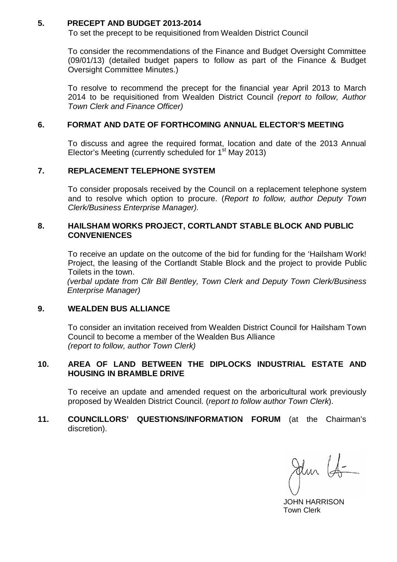## **5. PRECEPT AND BUDGET 2013-2014**

To set the precept to be requisitioned from Wealden District Council

To consider the recommendations of the Finance and Budget Oversight Committee (09/01/13) (detailed budget papers to follow as part of the Finance & Budget Oversight Committee Minutes.)

To resolve to recommend the precept for the financial year April 2013 to March 2014 to be requisitioned from Wealden District Council *(report to follow, Author Town Clerk and Finance Officer)*

### **6. FORMAT AND DATE OF FORTHCOMING ANNUAL ELECTOR'S MEETING**

To discuss and agree the required format, location and date of the 2013 Annual Elector's Meeting (currently scheduled for  $1<sup>st</sup>$  May 2013)

### **7. REPLACEMENT TELEPHONE SYSTEM**

To consider proposals received by the Council on a replacement telephone system and to resolve which option to procure. (*Report to follow, author Deputy Town Clerk/Business Enterprise Manager).*

### **8. HAILSHAM WORKS PROJECT, CORTLANDT STABLE BLOCK AND PUBLIC CONVENIENCES**

To receive an update on the outcome of the bid for funding for the 'Hailsham Work! Project, the leasing of the Cortlandt Stable Block and the project to provide Public Toilets in the town.

*(verbal update from Cllr Bill Bentley, Town Clerk and Deputy Town Clerk/Business Enterprise Manager)*

### **9. WEALDEN BUS ALLIANCE**

To consider an invitation received from Wealden District Council for Hailsham Town Council to become a member of the Wealden Bus Alliance *(report to follow, author Town Clerk)*

## **10. AREA OF LAND BETWEEN THE DIPLOCKS INDUSTRIAL ESTATE AND HOUSING IN BRAMBLE DRIVE**

To receive an update and amended request on the arboricultural work previously proposed by Wealden District Council. (*report to follow author Town Clerk*).

### **11. COUNCILLORS' QUESTIONS/INFORMATION FORUM** (at the Chairman's discretion).

Jun (fr

 JOHN HARRISON Town Clerk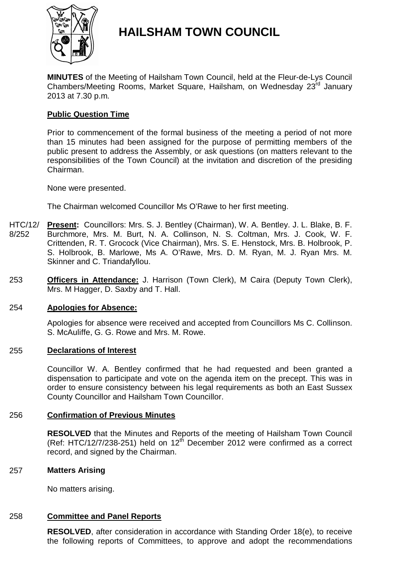

# **HAILSHAM TOWN COUNCIL**

**MINUTES** of the Meeting of Hailsham Town Council, held at the Fleur-de-Lys Council Chambers/Meeting Rooms, Market Square, Hailsham, on Wednesday 23rd January 2013 at 7.30 p.m.

# **Public Question Time**

Prior to commencement of the formal business of the meeting a period of not more than 15 minutes had been assigned for the purpose of permitting members of the public present to address the Assembly, or ask questions (on matters relevant to the responsibilities of the Town Council) at the invitation and discretion of the presiding Chairman.

None were presented.

The Chairman welcomed Councillor Ms O'Rawe to her first meeting.

- HTC/12/ 8/252 **Present:** Councillors: Mrs. S. J. Bentley (Chairman), W. A. Bentley. J. L. Blake, B. F. Burchmore, Mrs. M. Burt, N. A. Collinson, N. S. Coltman, Mrs. J. Cook, W. F. Crittenden, R. T. Grocock (Vice Chairman), Mrs. S. E. Henstock, Mrs. B. Holbrook, P. S. Holbrook, B. Marlowe, Ms A. O'Rawe, Mrs. D. M. Ryan, M. J. Ryan Mrs. M. Skinner and C. Triandafyllou.
- 253 **Officers in Attendance:** J. Harrison (Town Clerk), M Caira (Deputy Town Clerk), Mrs. M Hagger, D. Saxby and T. Hall.

## 254 **Apologies for Absence:**

Apologies for absence were received and accepted from Councillors Ms C. Collinson. S. McAuliffe, G. G. Rowe and Mrs. M. Rowe.

### 255 **Declarations of Interest**

Councillor W. A. Bentley confirmed that he had requested and been granted a dispensation to participate and vote on the agenda item on the precept. This was in order to ensure consistency between his legal requirements as both an East Sussex County Councillor and Hailsham Town Councillor.

## 256 **Confirmation of Previous Minutes**

**RESOLVED** that the Minutes and Reports of the meeting of Hailsham Town Council (Ref: HTC/12/7/238-251) held on  $12<sup>th</sup>$  December 2012 were confirmed as a correct record, and signed by the Chairman.

### 257 **Matters Arising**

No matters arising.

### 258 **Committee and Panel Reports**

**RESOLVED**, after consideration in accordance with Standing Order 18(e), to receive the following reports of Committees, to approve and adopt the recommendations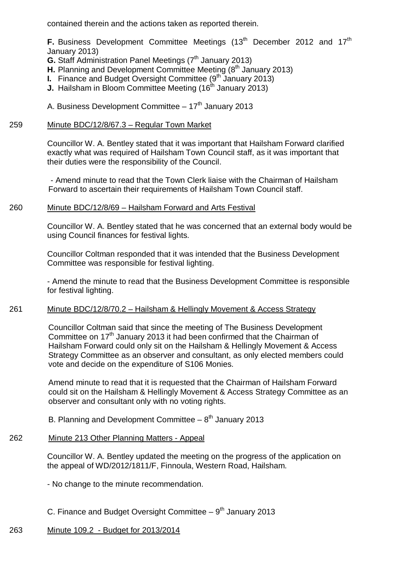contained therein and the actions taken as reported therein.

**F.** Business Development Committee Meetings (13<sup>th</sup> December 2012 and 17<sup>th</sup> January 2013)

- **G.** Staff Administration Panel Meetings (7<sup>th</sup> January 2013)
- **H.** Planning and Development Committee Meeting (8<sup>th</sup> January 2013)
- **I.** Finance and Budget Oversight Committee (9<sup>th</sup> January 2013)
- **J.** Hailsham in Bloom Committee Meeting (16<sup>th</sup> January 2013)
- A. Business Development Committee  $-17<sup>th</sup>$  January 2013

#### 259 Minute BDC/12/8/67.3 – Regular Town Market

Councillor W. A. Bentley stated that it was important that Hailsham Forward clarified exactly what was required of Hailsham Town Council staff, as it was important that their duties were the responsibility of the Council.

- Amend minute to read that the Town Clerk liaise with the Chairman of Hailsham Forward to ascertain their requirements of Hailsham Town Council staff.

#### 260 Minute BDC/12/8/69 – Hailsham Forward and Arts Festival

Councillor W. A. Bentley stated that he was concerned that an external body would be using Council finances for festival lights.

Councillor Coltman responded that it was intended that the Business Development Committee was responsible for festival lighting.

- Amend the minute to read that the Business Development Committee is responsible for festival lighting.

#### 261 Minute BDC/12/8/70.2 – Hailsham & Hellingly Movement & Access Strategy

Councillor Coltman said that since the meeting of The Business Development Committee on 17<sup>th</sup> January 2013 it had been confirmed that the Chairman of Hailsham Forward could only sit on the Hailsham & Hellingly Movement & Access Strategy Committee as an observer and consultant, as only elected members could vote and decide on the expenditure of S106 Monies.

Amend minute to read that it is requested that the Chairman of Hailsham Forward could sit on the Hailsham & Hellingly Movement & Access Strategy Committee as an observer and consultant only with no voting rights.

B. Planning and Development Committee  $-8<sup>th</sup>$  January 2013

#### 262 Minute 213 Other Planning Matters - Appeal

Councillor W. A. Bentley updated the meeting on the progress of the application on the appeal of WD/2012/1811/F, Finnoula, Western Road, Hailsham.

- No change to the minute recommendation.

C. Finance and Budget Oversight Committee  $-9<sup>th</sup>$  January 2013

#### 263 Minute 109.2 - Budget for 2013/2014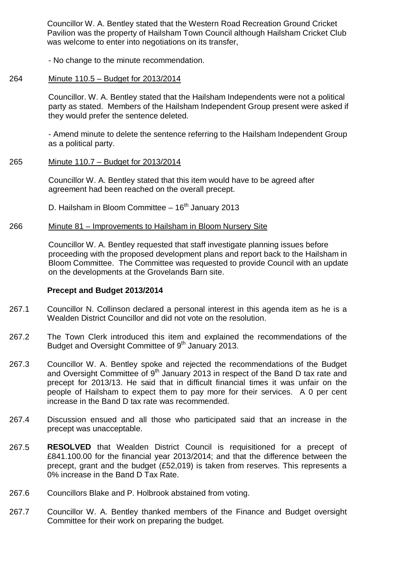Councillor W. A. Bentley stated that the Western Road Recreation Ground Cricket Pavilion was the property of Hailsham Town Council although Hailsham Cricket Club was welcome to enter into negotiations on its transfer.

- No change to the minute recommendation.

#### 264 Minute 110.5 – Budget for 2013/2014

Councillor. W. A. Bentley stated that the Hailsham Independents were not a political party as stated. Members of the Hailsham Independent Group present were asked if they would prefer the sentence deleted.

- Amend minute to delete the sentence referring to the Hailsham Independent Group as a political party.

#### 265 Minute 110.7 – Budget for 2013/2014

Councillor W. A. Bentley stated that this item would have to be agreed after agreement had been reached on the overall precept.

D. Hailsham in Bloom Committee  $-16<sup>th</sup>$  January 2013

#### 266 Minute 81 – Improvements to Hailsham in Bloom Nursery Site

Councillor W. A. Bentley requested that staff investigate planning issues before proceeding with the proposed development plans and report back to the Hailsham in Bloom Committee. The Committee was requested to provide Council with an update on the developments at the Grovelands Barn site.

## **Precept and Budget 2013/2014**

- 267.1 Councillor N. Collinson declared a personal interest in this agenda item as he is a Wealden District Councillor and did not vote on the resolution.
- 267.2 The Town Clerk introduced this item and explained the recommendations of the Budget and Oversight Committee of 9<sup>th</sup> January 2013.
- 267.3 Councillor W. A. Bentley spoke and rejected the recommendations of the Budget and Oversight Committee of  $9<sup>th</sup>$  January 2013 in respect of the Band D tax rate and precept for 2013/13. He said that in difficult financial times it was unfair on the people of Hailsham to expect them to pay more for their services. A 0 per cent increase in the Band D tax rate was recommended.
- 267.4 Discussion ensued and all those who participated said that an increase in the precept was unacceptable.
- 267.5 **RESOLVED** that Wealden District Council is requisitioned for a precept of £841.100.00 for the financial year 2013/2014; and that the difference between the precept, grant and the budget (£52,019) is taken from reserves. This represents a 0% increase in the Band D Tax Rate.
- 267.6 Councillors Blake and P. Holbrook abstained from voting.
- 267.7 Councillor W. A. Bentley thanked members of the Finance and Budget oversight Committee for their work on preparing the budget.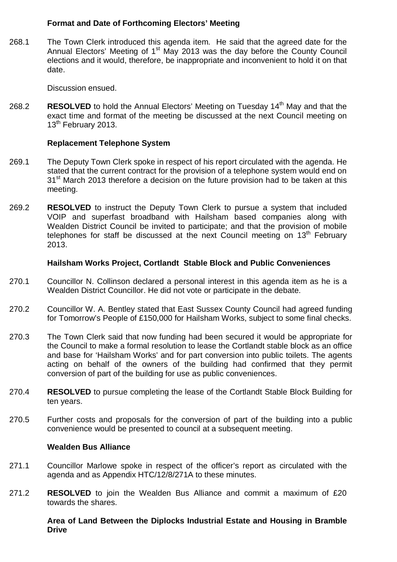# **Format and Date of Forthcoming Electors' Meeting**

268.1 The Town Clerk introduced this agenda item. He said that the agreed date for the Annual Electors' Meeting of  $1<sup>st</sup>$  May 2013 was the day before the County Council elections and it would, therefore, be inappropriate and inconvenient to hold it on that date.

Discussion ensued.

268.2 **RESOLVED** to hold the Annual Electors' Meeting on Tuesday 14<sup>th</sup> May and that the exact time and format of the meeting be discussed at the next Council meeting on 13<sup>th</sup> February 2013.

## **Replacement Telephone System**

- 269.1 The Deputy Town Clerk spoke in respect of his report circulated with the agenda. He stated that the current contract for the provision of a telephone system would end on 31<sup>st</sup> March 2013 therefore a decision on the future provision had to be taken at this meeting.
- 269.2 **RESOLVED** to instruct the Deputy Town Clerk to pursue a system that included VOIP and superfast broadband with Hailsham based companies along with Wealden District Council be invited to participate; and that the provision of mobile telephones for staff be discussed at the next Council meeting on  $13<sup>th</sup>$  February 2013.

### **Hailsham Works Project, Cortlandt Stable Block and Public Conveniences**

- 270.1 Councillor N. Collinson declared a personal interest in this agenda item as he is a Wealden District Councillor. He did not vote or participate in the debate.
- 270.2 Councillor W. A. Bentley stated that East Sussex County Council had agreed funding for Tomorrow's People of £150,000 for Hailsham Works, subject to some final checks.
- 270.3 The Town Clerk said that now funding had been secured it would be appropriate for the Council to make a formal resolution to lease the Cortlandt stable block as an office and base for 'Hailsham Works' and for part conversion into public toilets. The agents acting on behalf of the owners of the building had confirmed that they permit conversion of part of the building for use as public conveniences.
- 270.4 **RESOLVED** to pursue completing the lease of the Cortlandt Stable Block Building for ten years.
- 270.5 Further costs and proposals for the conversion of part of the building into a public convenience would be presented to council at a subsequent meeting.

### **Wealden Bus Alliance**

- 271.1 Councillor Marlowe spoke in respect of the officer's report as circulated with the agenda and as Appendix HTC/12/8/271A to these minutes.
- 271.2 **RESOLVED** to join the Wealden Bus Alliance and commit a maximum of £20 towards the shares.

## **Area of Land Between the Diplocks Industrial Estate and Housing in Bramble Drive**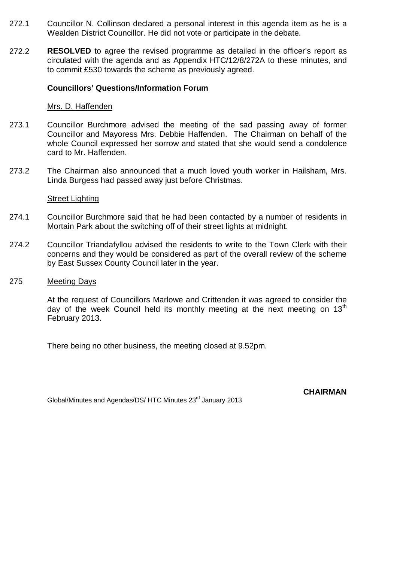- 272.1 Councillor N. Collinson declared a personal interest in this agenda item as he is a Wealden District Councillor. He did not vote or participate in the debate.
- 272.2 **RESOLVED** to agree the revised programme as detailed in the officer's report as circulated with the agenda and as Appendix HTC/12/8/272A to these minutes, and to commit £530 towards the scheme as previously agreed.

### **Councillors' Questions/Information Forum**

### Mrs. D. Haffenden

- 273.1 Councillor Burchmore advised the meeting of the sad passing away of former Councillor and Mayoress Mrs. Debbie Haffenden. The Chairman on behalf of the whole Council expressed her sorrow and stated that she would send a condolence card to Mr. Haffenden.
- 273.2 The Chairman also announced that a much loved youth worker in Hailsham, Mrs. Linda Burgess had passed away just before Christmas.

### Street Lighting

- 274.1 Councillor Burchmore said that he had been contacted by a number of residents in Mortain Park about the switching off of their street lights at midnight.
- 274.2 Councillor Triandafyllou advised the residents to write to the Town Clerk with their concerns and they would be considered as part of the overall review of the scheme by East Sussex County Council later in the year.
- 275 Meeting Days

At the request of Councillors Marlowe and Crittenden it was agreed to consider the day of the week Council held its monthly meeting at the next meeting on  $13<sup>th</sup>$ February 2013.

There being no other business, the meeting closed at 9.52pm.

Global/Minutes and Agendas/DS/ HTC Minutes 23rd January 2013

**CHAIRMAN**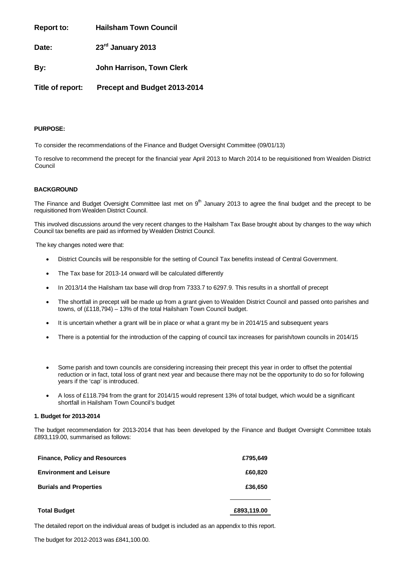**Report to: Hailsham Town Council**

**Date: 23rd January 2013**

**By: John Harrison, Town Clerk**

**Title of report: Precept and Budget 2013-2014**

### **PURPOSE:**

To consider the recommendations of the Finance and Budget Oversight Committee (09/01/13)

To resolve to recommend the precept for the financial year April 2013 to March 2014 to be requisitioned from Wealden District Council

### **BACKGROUND**

The Finance and Budget Oversight Committee last met on  $9<sup>th</sup>$  January 2013 to agree the final budget and the precept to be requisitioned from Wealden District Council.

This involved discussions around the very recent changes to the Hailsham Tax Base brought about by changes to the way which Council tax benefits are paid as informed by Wealden District Council.

The key changes noted were that:

- District Councils will be responsible for the setting of Council Tax benefits instead of Central Government.
- The Tax base for 2013-14 onward will be calculated differently
- In 2013/14 the Hailsham tax base will drop from 7333.7 to 6297.9. This results in a shortfall of precept
- The shortfall in precept will be made up from a grant given to Wealden District Council and passed onto parishes and towns, of (£118,794) – 13% of the total Hailsham Town Council budget.
- It is uncertain whether a grant will be in place or what a grant my be in 2014/15 and subsequent years
- There is a potential for the introduction of the capping of council tax increases for parish/town councils in 2014/15
- Some parish and town councils are considering increasing their precept this year in order to offset the potential reduction or in fact, total loss of grant next year and because there may not be the opportunity to do so for following years if the 'cap' is introduced.
- A loss of £118.794 from the grant for 2014/15 would represent 13% of total budget, which would be a significant shortfall in Hailsham Town Council's budget

### **1. Budget for 2013-2014**

The budget recommendation for 2013-2014 that has been developed by the Finance and Budget Oversight Committee totals £893,119.00, summarised as follows:

| <b>Finance, Policy and Resources</b> | £795,649    |
|--------------------------------------|-------------|
| <b>Environment and Leisure</b>       | £60,820     |
| <b>Burials and Properties</b>        | £36,650     |
| <b>Total Budget</b>                  | £893,119.00 |

The detailed report on the individual areas of budget is included as an appendix to this report.

The budget for 2012-2013 was £841,100.00.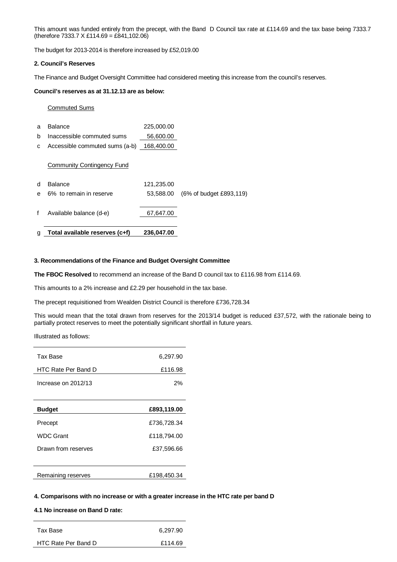This amount was funded entirely from the precept, with the Band D Council tax rate at £114.69 and the tax base being 7333.7 (therefore 7333.7 X £114.69 = £841,102.06)

The budget for 2013-2014 is therefore increased by £52,019.00

#### **2. Council's Reserves**

The Finance and Budget Oversight Committee had considered meeting this increase from the council's reserves.

### **Council's reserves as at 31.12.13 are as below:**

#### Commuted Sums

| g | Total available reserves (c+f) | 236.047.00 |                         |
|---|--------------------------------|------------|-------------------------|
| f | Available balance (d-e)        | 67,647.00  |                         |
| e |                                | 53,588.00  | (6% of budget £893,119) |
|   | 6% to remain in reserve        |            |                         |
| d | <b>Balance</b>                 | 121,235.00 |                         |
|   | Community Contingency Fund     |            |                         |
| C | Accessible commuted sums (a-b) | 168,400.00 |                         |
| b | Inaccessible commuted sums     | 56,600.00  |                         |
| a | <b>Balance</b>                 | 225,000.00 |                         |

#### **3. Recommendations of the Finance and Budget Oversight Committee**

**The FBOC Resolved** to recommend an increase of the Band D council tax to £116.98 from £114.69.

This amounts to a 2% increase and £2.29 per household in the tax base.

The precept requisitioned from Wealden District Council is therefore £736,728.34

This would mean that the total drawn from reserves for the 2013/14 budget is reduced £37,572, with the rationale being to partially protect reserves to meet the potentially significant shortfall in future years.

Illustrated as follows:

| Tax Base            | 6,297.90    |
|---------------------|-------------|
| HTC Rate Per Band D | £116.98     |
| Increase on 2012/13 | 2%          |
| <b>Budget</b>       | £893,119.00 |
| Precept             | £736,728.34 |
| <b>WDC Grant</b>    | £118,794.00 |
| Drawn from reserves | £37,596.66  |
|                     |             |
| Remaining reserves  | £198,450.34 |
|                     |             |

#### **4. Comparisons with no increase or with a greater increase in the HTC rate per band D**

### **4.1 No increase on Band D rate:**

| Tax Base            | 6,297.90 |
|---------------------|----------|
| HTC Rate Per Band D | £114.69  |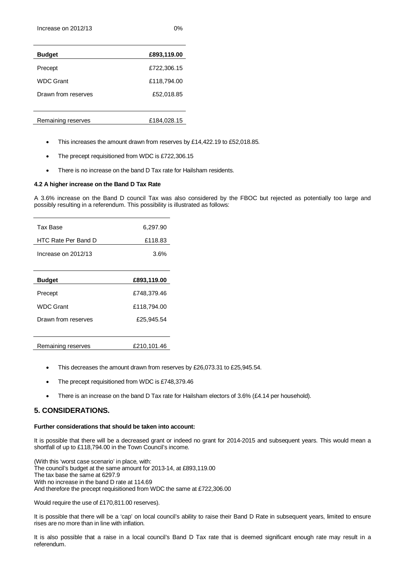| I<br>×<br>۰. | I<br>۰,<br>× |  |
|--------------|--------------|--|

| <b>Budget</b>       | £893,119.00 |
|---------------------|-------------|
| Precept             | £722,306.15 |
| <b>WDC Grant</b>    | £118,794.00 |
| Drawn from reserves | £52,018.85  |
|                     |             |

- Remaining reserves <br>
E184,028.15
	- This increases the amount drawn from reserves by £14,422.19 to £52,018.85.
	- The precept requisitioned from WDC is £722,306.15
	- There is no increase on the band D Tax rate for Hailsham residents.

#### **4.2 A higher increase on the Band D Tax Rate**

A 3.6% increase on the Band D council Tax was also considered by the FBOC but rejected as potentially too large and possibly resulting in a referendum. This possibility is illustrated as follows:

| Tax Base            | 6,297.90    |
|---------------------|-------------|
| HTC Rate Per Band D | £118.83     |
| Increase on 2012/13 | 3.6%        |
|                     |             |
| <b>Budget</b>       | £893,119.00 |
| Precept             | £748,379.46 |
| <b>WDC Grant</b>    | £118,794.00 |
| Drawn from reserves | £25,945.54  |
|                     |             |
| Remaining reserves  | £210,101.46 |

- This decreases the amount drawn from reserves by £26,073.31 to £25,945.54.
- The precept requisitioned from WDC is £748,379.46
- There is an increase on the band D Tax rate for Hailsham electors of 3.6% (£4.14 per household).

### **5. CONSIDERATIONS.**

#### **Further considerations that should be taken into account:**

It is possible that there will be a decreased grant or indeed no grant for 2014-2015 and subsequent years. This would mean a shortfall of up to £118,794.00 in the Town Council's income.

(With this 'worst case scenario' in place, with: The council's budget at the same amount for 2013-14, at £893,119.00 The tax base the same at 6297.9 With no increase in the band D rate at 114.69 And therefore the precept requisitioned from WDC the same at £722,306.00

Would require the use of £170,811.00 reserves).

It is possible that there will be a 'cap' on local council's ability to raise their Band D Rate in subsequent years, limited to ensure rises are no more than in line with inflation.

It is also possible that a raise in a local council's Band D Tax rate that is deemed significant enough rate may result in a referendum.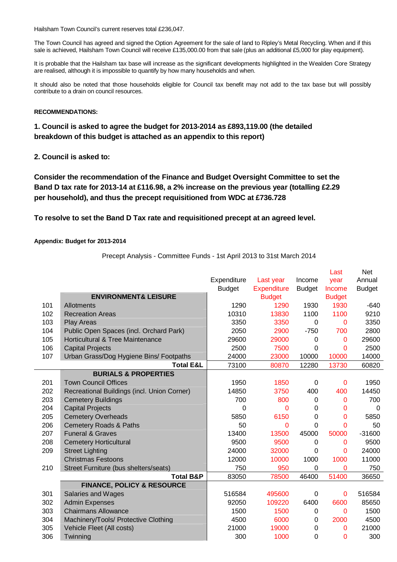Hailsham Town Council's current reserves total £236,047.

The Town Council has agreed and signed the Option Agreement for the sale of land to Ripley's Metal Recycling. When and if this sale is achieved, Hailsham Town Council will receive £135,000.00 from that sale (plus an additional £5,000 for play equipment).

It is probable that the Hailsham tax base will increase as the significant developments highlighted in the Wealden Core Strategy are realised, although it is impossible to quantify by how many households and when.

It should also be noted that those households eligible for Council tax benefit may not add to the tax base but will possibly contribute to a drain on council resources.

### **RECOMMENDATIONS:**

### **1. Council is asked to agree the budget for 2013-2014 as £893,119.00 (the detailed breakdown of this budget is attached as an appendix to this report)**

**2. Council is asked to:**

**Consider the recommendation of the Finance and Budget Oversight Committee to set the Band D tax rate for 2013-14 at £116.98, a 2% increase on the previous year (totalling £2.29 per household), and thus the precept requisitioned from WDC at £736.728** 

### **To resolve to set the Band D Tax rate and requisitioned precept at an agreed level.**

### **Appendix: Budget for 2013-2014**

Precept Analysis - Committee Funds - 1st April 2013 to 31st March 2014

|     |                                             |               |                    |               | Last          | <b>Net</b>    |
|-----|---------------------------------------------|---------------|--------------------|---------------|---------------|---------------|
|     |                                             | Expenditure   | Last year          | Income        | year          | Annual        |
|     |                                             | <b>Budget</b> | <b>Expenditure</b> | <b>Budget</b> | Income        | <b>Budget</b> |
|     | <b>ENVIRONMENT&amp; LEISURE</b>             |               | <b>Budget</b>      |               | <b>Budget</b> |               |
| 101 | Allotments                                  | 1290          | 1290               | 1930          | 1930          | $-640$        |
| 102 | <b>Recreation Areas</b>                     | 10310         | 13830              | 1100          | 1100          | 9210          |
| 103 | <b>Play Areas</b>                           | 3350          | 3350               | 0             | 0             | 3350          |
| 104 | Public Open Spaces (incl. Orchard Park)     | 2050          | 2900               | $-750$        | 700           | 2800          |
| 105 | Horticultural & Tree Maintenance            | 29600         | 29000              | 0             | 0             | 29600         |
| 106 | <b>Capital Projects</b>                     | 2500          | 7500               | 0             | $\Omega$      | 2500          |
| 107 | Urban Grass/Dog Hygiene Bins/ Footpaths     | 24000         | 23000              | 10000         | 10000         | 14000         |
|     | <b>Total E&amp;L</b>                        | 73100         | 80870              | 12280         | 13730         | 60820         |
|     | <b>BURIALS &amp; PROPERTIES</b>             |               |                    |               |               |               |
| 201 | <b>Town Council Offices</b>                 | 1950          | 1850               | 0             | 0             | 1950          |
| 202 | Recreational Buildings (incl. Union Corner) | 14850         | 3750               | 400           | 400           | 14450         |
| 203 | <b>Cemetery Buildings</b>                   | 700           | 800                | 0             | 0             | 700           |
| 204 | <b>Capital Projects</b>                     | 0             | 0                  | 0             | 0             | $\Omega$      |
| 205 | <b>Cemetery Overheads</b>                   | 5850          | 6150               | 0             | 0             | 5850          |
| 206 | <b>Cemetery Roads &amp; Paths</b>           | 50            | 0                  | 0             | 0             | 50            |
| 207 | <b>Funeral &amp; Graves</b>                 | 13400         | 13500              | 45000         | 50000         | $-31600$      |
| 208 | <b>Cemetery Horticultural</b>               | 9500          | 9500               | 0             | 0             | 9500          |
| 209 | <b>Street Lighting</b>                      | 24000         | 32000              | 0             | 0             | 24000         |
|     | <b>Christmas Festoons</b>                   | 12000         | 10000              | 1000          | 1000          | 11000         |
| 210 | Street Furniture (bus shelters/seats)       | 750           | 950                | 0             | 0             | 750           |
|     | <b>Total B&amp;P</b>                        | 83050         | 78500              | 46400         | 51400         | 36650         |
|     | <b>FINANCE, POLICY &amp; RESOURCE</b>       |               |                    |               |               |               |
| 301 | <b>Salaries and Wages</b>                   | 516584        | 495600             | 0             | $\mathbf 0$   | 516584        |
| 302 | <b>Admin Expenses</b>                       | 92050         | 109220             | 6400          | 6600          | 85650         |
| 303 | <b>Chairmans Allowance</b>                  | 1500          | 1500               | 0             | 0             | 1500          |
| 304 | Machinery/Tools/ Protective Clothing        | 4500          | 6000               | 0             | 2000          | 4500          |
| 305 | Vehicle Fleet (All costs)                   | 21000         | 19000              | 0             | 0             | 21000         |
| 306 | Twinning                                    | 300           | 1000               | 0             | $\Omega$      | 300           |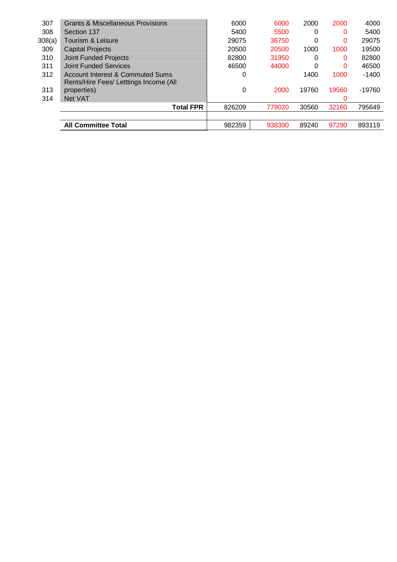| 307    | Grants & Miscellaneous Provisions      | 6000   | 6000   | 2000  | 2000  | 4000     |
|--------|----------------------------------------|--------|--------|-------|-------|----------|
| 308    | Section 137                            | 5400   | 5500   | 0     | 0     | 5400     |
| 308(a) | Tourism & Leisure                      | 29075  | 36750  | 0     | 0     | 29075    |
| 309    | <b>Capital Projects</b>                | 20500  | 20500  | 1000  | 1000  | 19500    |
| 310    | <b>Joint Funded Projects</b>           | 82800  | 31950  | 0     | 0     | 82800    |
| 311    | Joint Funded Services                  | 46500  | 44000  | 0     | 0     | 46500    |
| 312    | Account Interest & Commuted Sums       | 0      |        | 1400  | 1000  | $-1400$  |
|        | Rents/Hire Fees/ Letttings Income (All |        |        |       |       |          |
| 313    | properties)                            | 0      | 2000   | 19760 | 19560 | $-19760$ |
| 314    | Net VAT                                |        |        |       | 0     |          |
|        | <b>Total FPR</b>                       | 826209 | 779020 | 30560 | 32160 | 795649   |
|        |                                        |        |        |       |       |          |
|        | <b>All Committee Total</b>             | 982359 | 938390 | 89240 | 97290 | 893119   |
|        |                                        |        |        |       |       |          |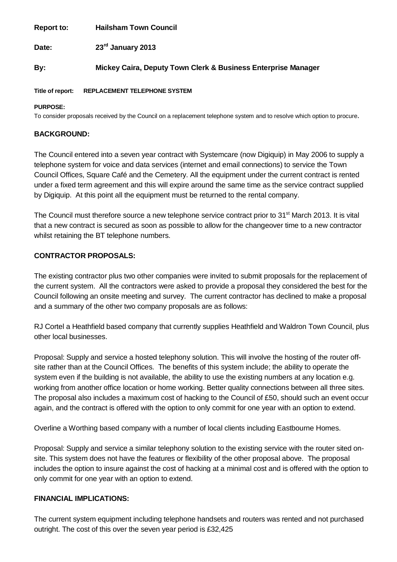**Report to: Hailsham Town Council**

Date: **rd January 2013**

## **By: Mickey Caira, Deputy Town Clerk & Business Enterprise Manager**

### **Title of report: REPLACEMENT TELEPHONE SYSTEM**

### **PURPOSE:**

To consider proposals received by the Council on a replacement telephone system and to resolve which option to procure.

### **BACKGROUND:**

The Council entered into a seven year contract with Systemcare (now Digiquip) in May 2006 to supply a telephone system for voice and data services (internet and email connections) to service the Town Council Offices, Square Café and the Cemetery. All the equipment under the current contract is rented under a fixed term agreement and this will expire around the same time as the service contract supplied by Digiquip. At this point all the equipment must be returned to the rental company.

The Council must therefore source a new telephone service contract prior to 31<sup>st</sup> March 2013. It is vital that a new contract is secured as soon as possible to allow for the changeover time to a new contractor whilst retaining the BT telephone numbers.

## **CONTRACTOR PROPOSALS:**

The existing contractor plus two other companies were invited to submit proposals for the replacement of the current system. All the contractors were asked to provide a proposal they considered the best for the Council following an onsite meeting and survey. The current contractor has declined to make a proposal and a summary of the other two company proposals are as follows:

RJ Cortel a Heathfield based company that currently supplies Heathfield and Waldron Town Council, plus other local businesses.

Proposal: Supply and service a hosted telephony solution. This will involve the hosting of the router offsite rather than at the Council Offices. The benefits of this system include; the ability to operate the system even if the building is not available, the ability to use the existing numbers at any location e.g. working from another office location or home working. Better quality connections between all three sites. The proposal also includes a maximum cost of hacking to the Council of £50, should such an event occur again, and the contract is offered with the option to only commit for one year with an option to extend.

Overline a Worthing based company with a number of local clients including Eastbourne Homes.

Proposal: Supply and service a similar telephony solution to the existing service with the router sited onsite. This system does not have the features or flexibility of the other proposal above. The proposal includes the option to insure against the cost of hacking at a minimal cost and is offered with the option to only commit for one year with an option to extend.

### **FINANCIAL IMPLICATIONS:**

The current system equipment including telephone handsets and routers was rented and not purchased outright. The cost of this over the seven year period is £32,425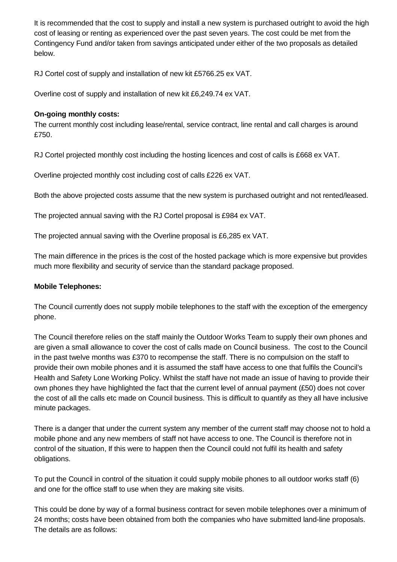It is recommended that the cost to supply and install a new system is purchased outright to avoid the high cost of leasing or renting as experienced over the past seven years. The cost could be met from the Contingency Fund and/or taken from savings anticipated under either of the two proposals as detailed below.

RJ Cortel cost of supply and installation of new kit £5766.25 ex VAT.

Overline cost of supply and installation of new kit £6,249.74 ex VAT.

## **On-going monthly costs:**

The current monthly cost including lease/rental, service contract, line rental and call charges is around £750.

RJ Cortel projected monthly cost including the hosting licences and cost of calls is £668 ex VAT.

Overline projected monthly cost including cost of calls £226 ex VAT.

Both the above projected costs assume that the new system is purchased outright and not rented/leased.

The projected annual saving with the RJ Cortel proposal is £984 ex VAT.

The projected annual saving with the Overline proposal is £6,285 ex VAT.

The main difference in the prices is the cost of the hosted package which is more expensive but provides much more flexibility and security of service than the standard package proposed.

## **Mobile Telephones:**

The Council currently does not supply mobile telephones to the staff with the exception of the emergency phone.

The Council therefore relies on the staff mainly the Outdoor Works Team to supply their own phones and are given a small allowance to cover the cost of calls made on Council business. The cost to the Council in the past twelve months was £370 to recompense the staff. There is no compulsion on the staff to provide their own mobile phones and it is assumed the staff have access to one that fulfils the Council's Health and Safety Lone Working Policy. Whilst the staff have not made an issue of having to provide their own phones they have highlighted the fact that the current level of annual payment (£50) does not cover the cost of all the calls etc made on Council business. This is difficult to quantify as they all have inclusive minute packages.

There is a danger that under the current system any member of the current staff may choose not to hold a mobile phone and any new members of staff not have access to one. The Council is therefore not in control of the situation, If this were to happen then the Council could not fulfil its health and safety obligations.

To put the Council in control of the situation it could supply mobile phones to all outdoor works staff (6) and one for the office staff to use when they are making site visits.

This could be done by way of a formal business contract for seven mobile telephones over a minimum of 24 months; costs have been obtained from both the companies who have submitted land-line proposals. The details are as follows: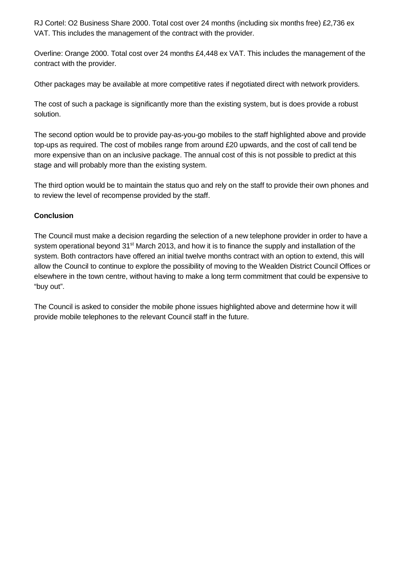RJ Cortel: O2 Business Share 2000. Total cost over 24 months (including six months free) £2,736 ex VAT. This includes the management of the contract with the provider.

Overline: Orange 2000. Total cost over 24 months £4,448 ex VAT. This includes the management of the contract with the provider.

Other packages may be available at more competitive rates if negotiated direct with network providers.

The cost of such a package is significantly more than the existing system, but is does provide a robust solution.

The second option would be to provide pay-as-you-go mobiles to the staff highlighted above and provide top-ups as required. The cost of mobiles range from around £20 upwards, and the cost of call tend be more expensive than on an inclusive package. The annual cost of this is not possible to predict at this stage and will probably more than the existing system.

The third option would be to maintain the status quo and rely on the staff to provide their own phones and to review the level of recompense provided by the staff.

## **Conclusion**

The Council must make a decision regarding the selection of a new telephone provider in order to have a system operational beyond 31<sup>st</sup> March 2013, and how it is to finance the supply and installation of the system. Both contractors have offered an initial twelve months contract with an option to extend, this will allow the Council to continue to explore the possibility of moving to the Wealden District Council Offices or elsewhere in the town centre, without having to make a long term commitment that could be expensive to "buy out".

The Council is asked to consider the mobile phone issues highlighted above and determine how it will provide mobile telephones to the relevant Council staff in the future.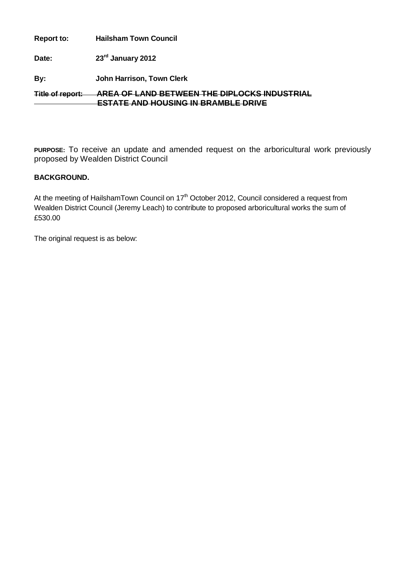| <b>Report to:</b>       | <b>Hailsham Town Council</b>                                                                        |
|-------------------------|-----------------------------------------------------------------------------------------------------|
| Date:                   | 23rd January 2012                                                                                   |
| By:                     | John Harrison, Town Clerk                                                                           |
| <b>Title of report:</b> | <u>AREA OE LAND RETWEEN THE DIPLOCKS INDITSTRIAL</u><br><u>ESTATE AND HOUSING IN RRAMRI E DRIVE</u> |

**PURPOSE:** To receive an update and amended request on the arboricultural work previously proposed by Wealden District Council

# **BACKGROUND.**

At the meeting of HailshamTown Council on 17<sup>th</sup> October 2012, Council considered a request from Wealden District Council (Jeremy Leach) to contribute to proposed arboricultural works the sum of £530.00

The original request is as below: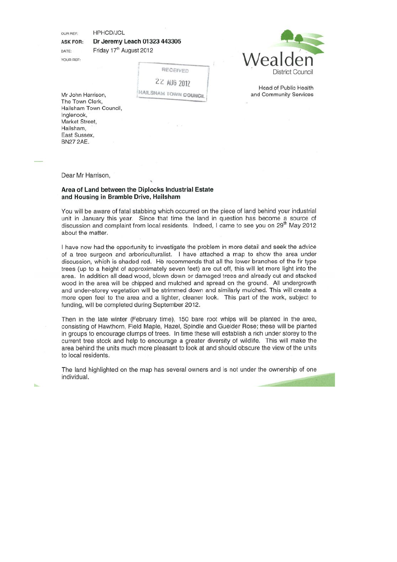HPHCD/JCL OUR REE-

Dr Jeremy Leach 01323 443305 **ASK FOR:** 

**DATE** YOUR REF: Friday 17<sup>th</sup> August 2012

RECEIVED 22 AUG 2012

HAILSHAM TOWN COUNCE



Head of Public Health and Community Services

Mr John Harrison, The Town Clerk. Hailsham Town Council, Inglenook. Market Street. Hailsham, East Sussex, **BN27 2AE.** 

Dear Mr Harrison.

#### Area of Land between the Diplocks Industrial Estate and Housing in Bramble Drive, Hailsham

You will be aware of fatal stabbing which occurred on the piece of land behind your industrial unit in January this year. Since that time the land in question has become a source of discussion and complaint from local residents. Indeed, I came to see you on 29<sup>th</sup> May 2012 about the matter.

I have now had the opportunity to investigate the problem in more detail and seek the advice of a tree surgeon and arboriculturalist. I have attached a map to show the area under discussion, which is shaded red. He recommends that all the lower branches of the fir type trees (up to a height of approximately seven feet) are cut off, this will let more light into the area. In addition all dead wood, blown down or damaged trees and already cut and stacked wood in the area will be chipped and mulched and spread on the ground. All undergrowth and under-storey vegetation will be strimmed down and similarly mulched. This will create a more open feel to the area and a lighter, cleaner look. This part of the work, subject to funding, will be completed during September 2012.

Then in the late winter (February time), 150 bare root whips will be planted in the area, consisting of Hawthorn, Field Maple, Hazel, Spindle and Guelder Rose; these will be planted in groups to encourage clumps of trees. In time these will establish a rich under storey to the current tree stock and help to encourage a greater diversity of wildlife. This will make the area behind the units much more pleasant to look at and should obscure the view of the units to local residents.

The land highlighted on the map has several owners and is not under the ownership of one individual.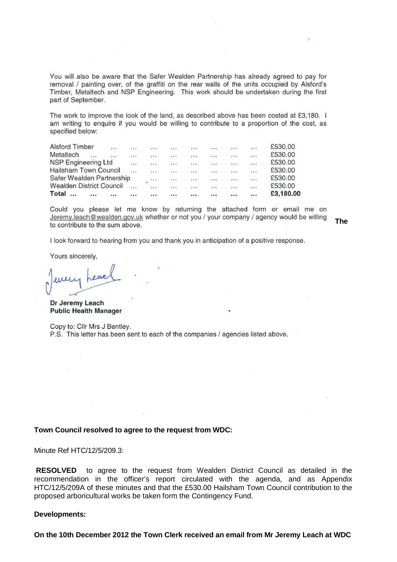You will also be aware that the Safer Wealden Partnership has already agreed to pay for removal / painting over, of the graffiti on the rear walls of the units occupied by Alsford's Timber, Metaltech and NSP Engineering. This work should be undertaken during the first part of September.

The work to improve the look of the land, as described above has been costed at £3,180. I am writing to enquire if you would be willing to contribute to a proportion of the cost, as specified below:

| <b>Alsford Timber</b><br>       |          |          |          |          |          |           |          | £530.00   |
|---------------------------------|----------|----------|----------|----------|----------|-----------|----------|-----------|
| Metaltech<br><br>               |          |          |          |          | $\cdots$ | $\cdots$  | $\cdots$ | £530.00   |
| NSP Engineering Ltd             | $\ldots$ | $\cdots$ |          |          |          |           |          | £530.00   |
| Hailsham Town Council           |          |          |          |          | $\cdots$ | $\cdots$  |          | £530.00   |
| Safer Wealden Partnership       |          | $\cdots$ | $\cdots$ | $\cdots$ | ***      | <br>83300 | $\cdots$ | £530.00   |
| <b>Wealden District Council</b> | $\cdots$ | $\cdots$ | $\cdots$ |          |          | $\cdots$  | $\cdots$ | £530.00   |
| Total<br><br>                   |          |          |          |          |          |           |          | £3,180.00 |

Could you please let me know by returning the attached form or email me on Jeremy.leach@wealden.gov.uk whether or not you / your company / agency would be willing to contribute to the sum above.

**The** 

I look forward to hearing from you and thank you in anticipation of a positive response.

Yours sincerely,

Dr Jeremy Leach **Public Health Manager** 

Copy to: Clir Mrs J Bentley. P.S. This letter has been sent to each of the companies / agencies listed above.

### **Town Council resolved to agree to the request from WDC:**

Minute Ref HTC/12/5/209.3:

**RESOLVED** to agree to the request from Wealden District Council as detailed in the recommendation in the officer's report circulated with the agenda, and as Appendix HTC/12/5/209A of these minutes and that the £530.00 Hailsham Town Council contribution to the proposed arboricultural works be taken form the Contingency Fund.

### **Developments:**

**On the 10th December 2012 the Town Clerk received an email from Mr Jeremy Leach at WDC**